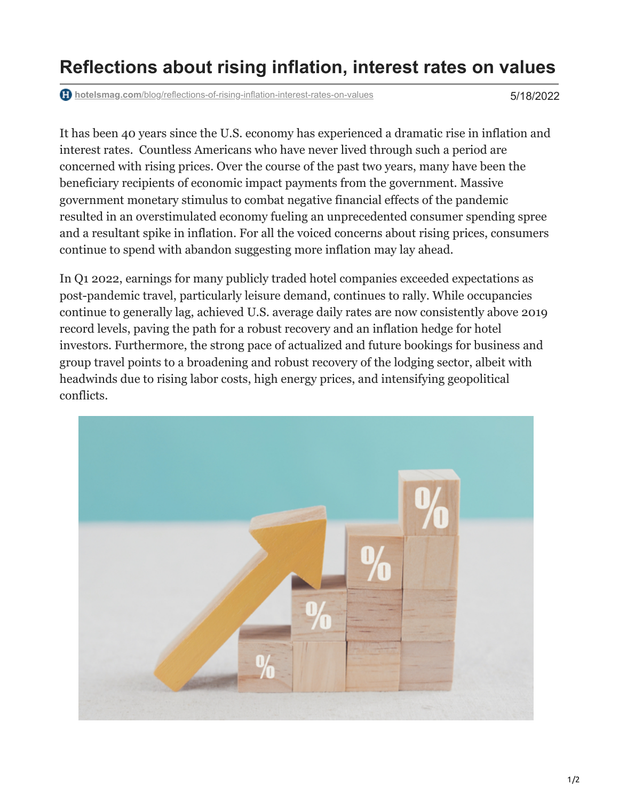## **Reflections about rising inflation, interest rates on values**

**hotelsmag.com**[/blog/reflections-of-rising-inflation-interest-rates-on-values](https://www.hotelsmag.com/blog/reflections-of-rising-inflation-interest-rates-on-values/)

5/18/2022

It has been 40 years since the U.S. economy has experienced a dramatic rise in inflation and interest rates. Countless Americans who have never lived through such a period are concerned with rising prices. Over the course of the past two years, many have been the beneficiary recipients of economic impact payments from the government. Massive government monetary stimulus to combat negative financial effects of the pandemic resulted in an overstimulated economy fueling an unprecedented consumer spending spree and a resultant spike in inflation. For all the voiced concerns about rising prices, consumers continue to spend with abandon suggesting more inflation may lay ahead.

In Q1 2022, earnings for many publicly traded hotel companies exceeded expectations as post-pandemic travel, particularly leisure demand, continues to rally. While occupancies continue to generally lag, achieved U.S. average daily rates are now consistently above 2019 record levels, paving the path for a robust recovery and an inflation hedge for hotel investors. Furthermore, the strong pace of actualized and future bookings for business and group travel points to a broadening and robust recovery of the lodging sector, albeit with headwinds due to rising labor costs, high energy prices, and intensifying geopolitical conflicts.